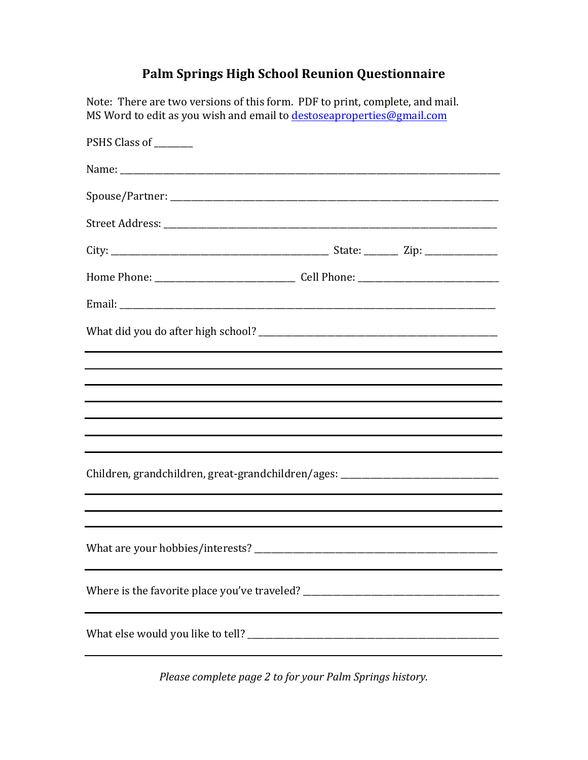## **Palm Springs High School Reunion Questionnaire**

| Note: There are two versions of this form. PDF to print, complete, and mail.<br>MS Word to edit as you wish and email to destoseaproperties@gmail.com |  |
|-------------------------------------------------------------------------------------------------------------------------------------------------------|--|
| PSHS Class of _______                                                                                                                                 |  |
|                                                                                                                                                       |  |
|                                                                                                                                                       |  |
|                                                                                                                                                       |  |
|                                                                                                                                                       |  |
|                                                                                                                                                       |  |
|                                                                                                                                                       |  |
|                                                                                                                                                       |  |
|                                                                                                                                                       |  |
|                                                                                                                                                       |  |
|                                                                                                                                                       |  |
|                                                                                                                                                       |  |
| Children, grandchildren, great-grandchildren/ages: _____________________________                                                                      |  |
|                                                                                                                                                       |  |
|                                                                                                                                                       |  |
| Where is the favorite place you've traveled? ___________________________________                                                                      |  |
|                                                                                                                                                       |  |

*Please complete page 2 to for your Palm Springs history.*